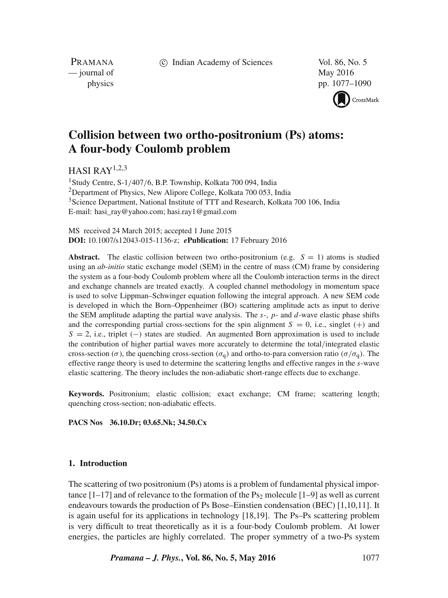c Indian Academy of Sciences Vol. 86, No. 5

PRAMANA — journal of May 2016

physics pp. 1077–1090



# **Collision between two ortho-positronium (Ps) atoms: A four-body Coulomb problem**

HASI RAY1,2,3

1Study Centre, S-1/407/6, B.P. Township, Kolkata 700 094, India <sup>2</sup>Department of Physics, New Alipore College, Kolkata 700 053, India <sup>3</sup>Science Department, National Institute of TTT and Research, Kolkata 700 106, India E-mail: hasi\_ray@yahoo.com; hasi.ray1@gmail.com

MS received 24 March 2015; accepted 1 June 2015 **DOI:** 10.1007/s12043-015-1136-z; *e***Publication:** 17 February 2016

**Abstract.** The elastic collision between two ortho-positronium (e.g.  $S = 1$ ) atoms is studied using an *ab-initio* static exchange model (SEM) in the centre of mass (CM) frame by considering the system as a four-body Coulomb problem where all the Coulomb interaction terms in the direct and exchange channels are treated exactly. A coupled channel methodology in momentum space is used to solve Lippman–Schwinger equation following the integral approach. A new SEM code is developed in which the Born–Oppenheimer (BO) scattering amplitude acts as input to derive the SEM amplitude adapting the partial wave analysis. The  $s$ -,  $p$ - and  $d$ -wave elastic phase shifts and the corresponding partial cross-sections for the spin alignment  $S = 0$ , i.e., singlet (+) and  $S = 2$ , i.e., triplet (−) states are studied. An augmented Born approximation is used to include the contribution of higher partial waves more accurately to determine the total/integrated elastic cross-section ( $\sigma$ ), the quenching cross-section ( $\sigma_q$ ) and ortho-to-para conversion ratio ( $\sigma/\sigma_q$ ). The effective range theory is used to determine the scattering lengths and effective ranges in the s-wave elastic scattering. The theory includes the non-adiabatic short-range effects due to exchange.

**Keywords.** Positronium; elastic collision; exact exchange; CM frame; scattering length; quenching cross-section; non-adiabatic effects.

**PACS Nos 36.10.Dr; 03.65.Nk; 34.50.Cx**

## **1. Introduction**

The scattering of two positronium (Ps) atoms is a problem of fundamental physical importance  $[1-17]$  and of relevance to the formation of the Ps<sub>2</sub> molecule  $[1-9]$  as well as current endeavours towards the production of Ps Bose–Einstien condensation (BEC) [1,10,11]. It is again useful for its applications in technology [18,19]. The Ps–Ps scattering problem is very difficult to treat theoretically as it is a four-body Coulomb problem. At lower energies, the particles are highly correlated. The proper symmetry of a two-Ps system

*Pramana – J. Phys.***, Vol. 86, No. 5, May 2016** 1077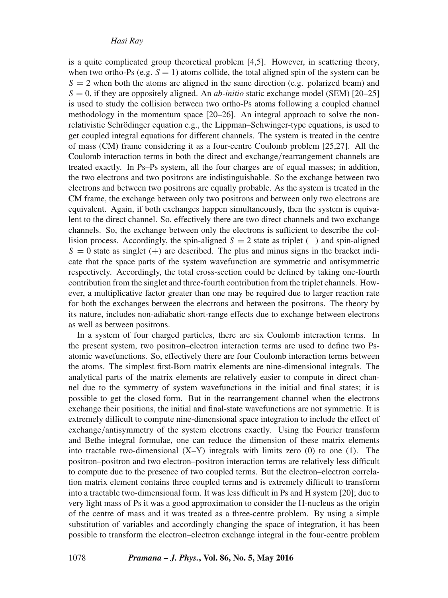is a quite complicated group theoretical problem [4,5]. However, in scattering theory, when two ortho-Ps (e.g.  $S = 1$ ) atoms collide, the total aligned spin of the system can be  $S = 2$  when both the atoms are aligned in the same direction (e.g. polarized beam) and  $S = 0$ , if they are oppositely aligned. An *ab-initio* static exchange model (SEM) [20–25] is used to study the collision between two ortho-Ps atoms following a coupled channel methodology in the momentum space [20–26]. An integral approach to solve the nonrelativistic Schrödinger equation e.g., the Lippman–Schwinger-type equations, is used to get coupled integral equations for different channels. The system is treated in the centre of mass (CM) frame considering it as a four-centre Coulomb problem [25,27]. All the Coulomb interaction terms in both the direct and exchange/rearrangement channels are treated exactly. In Ps–Ps system, all the four charges are of equal masses; in addition, the two electrons and two positrons are indistinguishable. So the exchange between two electrons and between two positrons are equally probable. As the system is treated in the CM frame, the exchange between only two positrons and between only two electrons are equivalent. Again, if both exchanges happen simultaneously, then the system is equivalent to the direct channel. So, effectively there are two direct channels and two exchange channels. So, the exchange between only the electrons is sufficient to describe the collision process. Accordingly, the spin-aligned  $S = 2$  state as triplet (−) and spin-aligned  $S = 0$  state as singlet (+) are described. The plus and minus signs in the bracket indicate that the space parts of the system wavefunction are symmetric and antisymmetric respectively. Accordingly, the total cross-section could be defined by taking one-fourth contribution from the singlet and three-fourth contribution from the triplet channels. However, a multiplicative factor greater than one may be required due to larger reaction rate for both the exchanges between the electrons and between the positrons. The theory by its nature, includes non-adiabatic short-range effects due to exchange between electrons as well as between positrons.

In a system of four charged particles, there are six Coulomb interaction terms. In the present system, two positron–electron interaction terms are used to define two Psatomic wavefunctions. So, effectively there are four Coulomb interaction terms between the atoms. The simplest first-Born matrix elements are nine-dimensional integrals. The analytical parts of the matrix elements are relatively easier to compute in direct channel due to the symmetry of system wavefunctions in the initial and final states; it is possible to get the closed form. But in the rearrangement channel when the electrons exchange their positions, the initial and final-state wavefunctions are not symmetric. It is extremely difficult to compute nine-dimensional space integration to include the effect of exchange/antisymmetry of the system electrons exactly. Using the Fourier transform and Bethe integral formulae, one can reduce the dimension of these matrix elements into tractable two-dimensional  $(X-Y)$  integrals with limits zero  $(0)$  to one  $(1)$ . The positron–positron and two electron–positron interaction terms are relatively less difficult to compute due to the presence of two coupled terms. But the electron–electron correlation matrix element contains three coupled terms and is extremely difficult to transform into a tractable two-dimensional form. It was less difficult in Ps and H system [20]; due to very light mass of Ps it was a good approximation to consider the H-nucleus as the origin of the centre of mass and it was treated as a three-centre problem. By using a simple substitution of variables and accordingly changing the space of integration, it has been possible to transform the electron–electron exchange integral in the four-centre problem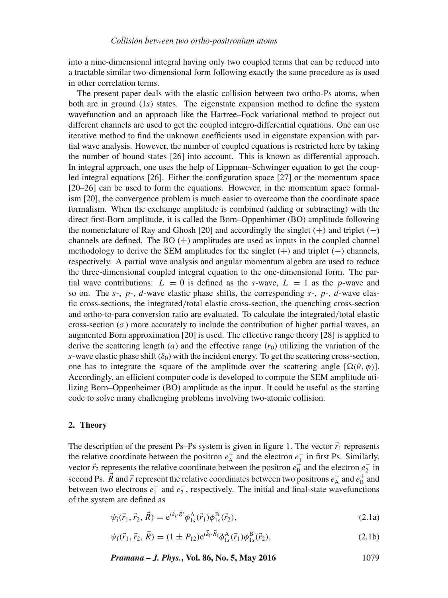into a nine-dimensional integral having only two coupled terms that can be reduced into a tractable similar two-dimensional form following exactly the same procedure as is used in other correlation terms.

The present paper deals with the elastic collision between two ortho-Ps atoms, when both are in ground  $(1s)$  states. The eigenstate expansion method to define the system wavefunction and an approach like the Hartree–Fock variational method to project out different channels are used to get the coupled integro-differential equations. One can use iterative method to find the unknown coefficients used in eigenstate expansion with partial wave analysis. However, the number of coupled equations is restricted here by taking the number of bound states [26] into account. This is known as differential approach. In integral approach, one uses the help of Lippman–Schwinger equation to get the coupled integral equations [26]. Either the configuration space [27] or the momentum space [20–26] can be used to form the equations. However, in the momentum space formalism [20], the convergence problem is much easier to overcome than the coordinate space formalism. When the exchange amplitude is combined (adding or subtracting) with the direct first-Born amplitude, it is called the Born–Oppenhimer (BO) amplitude following the nomenclature of Ray and Ghosh [20] and accordingly the singlet  $(+)$  and triplet  $(-)$ channels are defined. The BO  $(\pm)$  amplitudes are used as inputs in the coupled channel methodology to derive the SEM amplitudes for the singlet  $(+)$  and triplet  $(-)$  channels, respectively. A partial wave analysis and angular momentum algebra are used to reduce the three-dimensional coupled integral equation to the one-dimensional form. The partial wave contributions:  $L = 0$  is defined as the s-wave,  $L = 1$  as the p-wave and so on. The s-,  $p$ -,  $d$ -wave elastic phase shifts, the corresponding s-,  $p$ -,  $d$ -wave elastic cross-sections, the integrated/total elastic cross-section, the quenching cross-section and ortho-to-para conversion ratio are evaluated. To calculate the integrated/total elastic cross-section  $(\sigma)$  more accurately to include the contribution of higher partial waves, an augmented Born approximation [20] is used. The effective range theory [28] is applied to derive the scattering length (a) and the effective range  $(r_0)$  utilizing the variation of the s-wave elastic phase shift  $(\delta_0)$  with the incident energy. To get the scattering cross-section, one has to integrate the square of the amplitude over the scattering angle  $[\Omega(\theta, \phi)]$ . Accordingly, an efficient computer code is developed to compute the SEM amplitude utilizing Born–Oppenheimer (BO) amplitude as the input. It could be useful as the starting code to solve many challenging problems involving two-atomic collision.

# **2. Theory**

The description of the present Ps–Ps system is given in figure 1. The vector  $\vec{r}_1$  represents the relative coordinate between the positron  $e_{\rm A}^+$  and the electron  $e_{\rm I}^-$  in first Ps. Similarly, vector  $\vec{r}_2$  represents the relative coordinate between the positron  $e_1^{\dagger}$  and the electron  $e_2^{\dagger}$  in second Ps.  $\vec{R}$  and  $\vec{r}$  represent the relative coordinates between two positrons  $e^+$  and  $e^+$  and between two electrons  $e_1^-$  and  $e_2^-$ , respectively. The initial and final-state wavefunctions of the system are defined as

$$
\psi_{i}(\vec{r}_{1},\vec{r}_{2},\vec{R}) = e^{i\vec{k}_{i}\cdot\vec{R}'}\phi_{1s}^{A}(\vec{r}_{1})\phi_{1s}^{B}(\vec{r}_{2}),
$$
\n(2.1a)

$$
\psi_{\rm f}(\vec{r}_1, \vec{r}_2, \vec{R}) = (1 \pm P_{12}) e^{i\vec{k}_{\rm f} \cdot \vec{R}_{\rm f}} \phi_{1s}^{\rm A}(\vec{r}_1) \phi_{1s}^{\rm B}(\vec{r}_2), \tag{2.1b}
$$

*Pramana – J. Phys.***, Vol. 86, No. 5, May 2016** 1079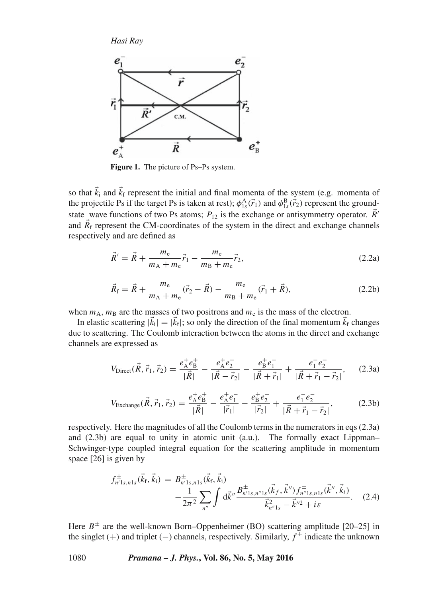

**Figure 1.** The picture of Ps–Ps system.

so that  $\vec{k}_i$  and  $\vec{k}_f$  represent the initial and final momenta of the system (e.g. momenta of the projectile Ps if the target Ps is taken at rest);  $\phi_{1s}^{A}(\vec{r}_1)$  and  $\phi_{1s}^{B}(\vec{r}_2)$  represent the groundstate wave functions of two Ps atoms;  $P_{12}$  is the exchange or antisymmetry operator.  $\vec{R}$ ' and  $\vec{R}_f$  represent the CM-coordinates of the system in the direct and exchange channels respectively and are defined as

$$
\vec{R}' = \vec{R} + \frac{m_e}{m_A + m_e} \vec{r}_1 - \frac{m_e}{m_B + m_e} \vec{r}_2,
$$
\n(2.2a)

$$
\vec{R}_{\rm f} = \vec{R} + \frac{m_{\rm e}}{m_{\rm A} + m_{\rm e}} (\vec{r}_{2} - \vec{R}) - \frac{m_{\rm e}}{m_{\rm B} + m_{\rm e}} (\vec{r}_{1} + \vec{R}), \tag{2.2b}
$$

when  $m_A$ ,  $m_B$  are the masses of two positrons and  $m_e$  is the mass of the electron.

In elastic scattering  $|\vec{k}_i|=|\vec{k}_f|$ ; so only the direction of the final momentum  $\vec{k}_f$  changes due to scattering. The Coulomb interaction between the atoms in the direct and exchange channels are expressed as

$$
V_{\text{Direct}}(\vec{R}, \vec{r}_1, \vec{r}_2) = \frac{e^+_{\text{A}}e^+_{\text{B}}}{|\vec{R}|} - \frac{e^+_{\text{A}}e^-_{\text{2}}}{|\vec{R} - \vec{r}_2|} - \frac{e^+_{\text{B}}e^-_{\text{1}}}{|\vec{R} + \vec{r}_1|} + \frac{e^-_{\text{1}}e^-_{\text{2}}}{|\vec{R} + \vec{r}_1 - \vec{r}_2|},\tag{2.3a}
$$

$$
V_{\text{Exchange}}(\vec{R}, \vec{r}_1, \vec{r}_2) = \frac{e^+_{\text{A}}e^+_{\text{B}}}{|\vec{R}|} - \frac{e^+_{\text{A}}e^-_{\text{I}}}{|\vec{r}_1|} - \frac{e^+_{\text{B}}e^-_{\text{2}}}{|\vec{r}_2|} + \frac{e^-_{\text{I}}e^-_{\text{2}}}{|\vec{R} + \vec{r}_1 - \vec{r}_2|},\tag{2.3b}
$$

respectively. Here the magnitudes of all the Coulomb terms in the numerators in eqs (2.3a) and (2.3b) are equal to unity in atomic unit (a.u.). The formally exact Lippman– Schwinger-type coupled integral equation for the scattering amplitude in momentum space [26] is given by

$$
f_{n'1s,n1s}^{\pm}(\vec{k}_{\rm f},\vec{k}_{\rm i}) = B_{n'1s,n1s}^{\pm}(\vec{k}_{\rm f},\vec{k}_{\rm i}) - \frac{1}{2\pi^2} \sum_{n''} \int d\vec{k}'' \frac{B_{n'1s,n''1s}^{\pm}(\vec{k}_{\rm f},\vec{k}'') f_{n''1s,n1s}^{\pm}(\vec{k}'',\vec{k}_{\rm i})}{\vec{k}_{n''1s}^2 - \vec{k}''^2 + i\varepsilon}.
$$
 (2.4)

Here  $B^{\pm}$  are the well-known Born–Oppenheimer (BO) scattering amplitude [20–25] in the singlet (+) and triplet (-) channels, respectively. Similarly,  $f^{\pm}$  indicate the unknown

1080 *Pramana – J. Phys.***, Vol. 86, No. 5, May 2016**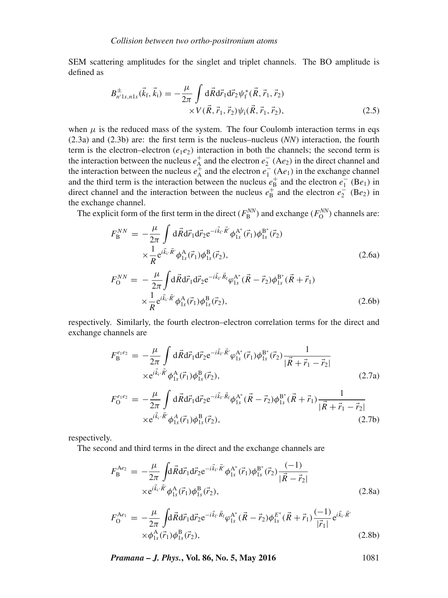SEM scattering amplitudes for the singlet and triplet channels. The BO amplitude is defined as

$$
B^{\pm}_{n'1s,n1s}(\vec{k}_{\rm f},\vec{k}_{\rm i}) = -\frac{\mu}{2\pi} \int d\vec{R} d\vec{r}_{1} d\vec{r}_{2} \psi_{\rm f}^{*}(\vec{R},\vec{r}_{1},\vec{r}_{2}) \times V(\vec{R},\vec{r}_{1},\vec{r}_{2}) \psi_{\rm i}(\vec{R},\vec{r}_{1},\vec{r}_{2}), \qquad (2.5)
$$

when  $\mu$  is the reduced mass of the system. The four Coulomb interaction terms in eqs (2.3a) and (2.3b) are: the first term is the nucleus–nucleus (*NN*) interaction, the fourth term is the electron–electron  $(e_1e_2)$  interaction in both the channels; the second term is the interaction between the nucleus  $e_{A}^{+}$  and the electron  $e_{2}^{-}$  (A $e_{2}$ ) in the direct channel and the interaction between the nucleus  $e_{A}^{+}$  and the electron  $e_{1}^{-}$  (A $e_{1}$ ) in the exchange channel and the third term is the interaction between the nucleus  $e^+_{\text{B}}$  and the electron  $e^-_1$  (Be<sub>1</sub>) in direct channel and the interaction between the nucleus  $e_{\text{B}}^{+}$  and the electron  $e_{2}^{-}$  (Be<sub>2</sub>) in the exchange channel.

The explicit form of the first term in the direct ( $F_B^{NN}$ ) and exchange ( $F_O^{NN}$ ) channels are:

$$
F_{\rm B}^{NN} = -\frac{\mu}{2\pi} \int d\vec{R} d\vec{r}_1 d\vec{r}_2 e^{-i\vec{k}_{\rm f}\cdot\vec{R}'} \phi_{1s}^{\rm A*}(\vec{r}_1) \phi_{1s}^{\rm B*}(\vec{r}_2) \times \frac{1}{R} e^{i\vec{k}_{\rm i}\cdot\vec{R}'} \phi_{1s}^{\rm A}(\vec{r}_1) \phi_{1s}^{\rm B}(\vec{r}_2),
$$
\n(2.6a)

$$
F_{\rm O}^{NN} = -\frac{\mu}{2\pi} \int \mathrm{d}\vec{R} \mathrm{d}\vec{r}_{1} \mathrm{d}\vec{r}_{2} e^{-i\vec{k}_{\rm f}\cdot\vec{R}_{\rm f}} \varphi_{1s}^{\rm A^{*}} (\vec{R} - \vec{r}_{2}) \varphi_{1s}^{\rm B^{*}} (\vec{R} + \vec{r}_{1})
$$

$$
\times \frac{1}{R} e^{i\vec{k}_{\rm i}\cdot\vec{R}'} \varphi_{1s}^{\rm A} (\vec{r}_{1}) \varphi_{1s}^{\rm B} (\vec{r}_{2}), \tag{2.6b}
$$

respectively. Similarly, the fourth electron–electron correlation terms for the direct and exchange channels are

$$
F_{\rm B}^{e_1e_2} = -\frac{\mu}{2\pi} \int d\vec{R} d\vec{r}_1 d\vec{r}_2 e^{-i\vec{k}_{\rm f}\cdot\vec{R}'} \varphi_{1s}^{\rm A*}(\vec{r}_1) \phi_{1s}^{\rm B*}(\vec{r}_2) \frac{1}{|\vec{R} + \vec{r}_1 - \vec{r}_2|} \\
\times e^{i\vec{k}_1 \cdot \vec{R}'} \phi_{1s}^{\rm A}(\vec{r}_1) \phi_{1s}^{\rm B}(\vec{r}_2),
$$
\n
$$
F_{\rm B}^{e_1e_2} = \frac{\mu}{\pi} \int d\vec{R} d\vec{r} d\vec{r} d\vec{r} e^{-i\vec{k}_{\rm f}\cdot\vec{R}_{\rm f}} d\vec{r} d\vec{r} d\vec{r}}{|\vec{r}_1 + \vec{r}_2|}.
$$
\n(2.7a)

$$
F_0^{e_1e_2} = -\frac{\mu}{2\pi} \int d\vec{R} d\vec{r}_1 d\vec{r}_2 e^{-i\vec{k}_f \cdot \vec{R}_f} \phi_{1s}^{A^*} (\vec{R} - \vec{r}_2) \phi_{1s}^{B^*} (\vec{R} + \vec{r}_1) \frac{1}{|\vec{R} + \vec{r}_1 - \vec{r}_2|} \times e^{i\vec{k}_f \cdot \vec{R}'} \phi_{1s}^A (\vec{r}_1) \phi_{1s}^B (\vec{r}_2),
$$
\n(2.7b)

respectively.

The second and third terms in the direct and the exchange channels are

$$
F_{\rm B}^{\rm Ae_2} = -\frac{\mu}{2\pi} \int d\vec{R} d\vec{r}_1 d\vec{r}_2 e^{-i\vec{k}_{\rm f}\cdot\vec{R}'} \phi_{1s}^{\rm A*}(\vec{r}_1) \phi_{1s}^{\rm B*}(\vec{r}_2) \frac{(-1)}{|\vec{R} - \vec{r}_2|} \times e^{i\vec{k}_{\rm i}\cdot\vec{R}'} \phi_{1s}^{\rm A}(\vec{r}_1) \phi_{1s}^{\rm B}(\vec{r}_2), \tag{2.8a}
$$

$$
F_{\rm O}^{\rm Ae_1} = -\frac{\mu}{2\pi} \int d\vec{R} d\vec{r}_1 d\vec{r}_2 e^{-i\vec{k}_{\rm f}\cdot\vec{R}_{\rm f}} \varphi_{\rm ls}^{\rm A*} (\vec{R} - \vec{r}_2) \varphi_{\rm ls}^{E*} (\vec{R} + \vec{r}_1) \frac{(-1)}{|\vec{r}_1|} e^{i\vec{k}_1 \cdot \vec{R}'} \times \varphi_{\rm ls}^{\rm A} (\vec{r}_1) \varphi_{\rm ls}^{\rm B} (\vec{r}_2),
$$
\n(2.8b)

*Pramana – J. Phys.***, Vol. 86, No. 5, May 2016** 1081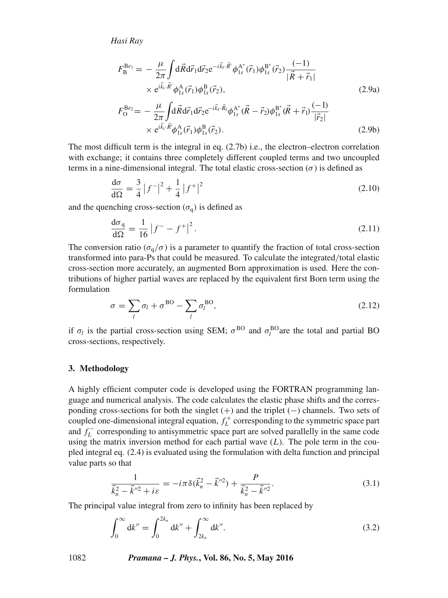$$
F_{\rm B}^{\rm Be_1} = -\frac{\mu}{2\pi} \int d\vec{R} d\vec{r}_1 d\vec{r}_2 e^{-i\vec{k}_{\rm f}\cdot\vec{R}'} \phi_{1s}^{\rm A*}(\vec{r}_1) \phi_{1s}^{\rm B*}(\vec{r}_2) \frac{(-1)}{|\vec{R} + \vec{r}_1|} \times e^{i\vec{k}_{\rm i}\cdot\vec{R}'} \phi_{1s}^{\rm A}(\vec{r}_1) \phi_{1s}^{\rm B}(\vec{r}_2), \tag{2.9a}
$$

$$
F_{\rm O}^{\rm Be_2} = -\frac{\mu}{2\pi} \int d\vec{R} d\vec{r}_1 d\vec{r}_2 e^{-i\vec{k}_{\rm f}\cdot\vec{R}_{\rm f}} \phi_{\rm 1s}^{\rm A*} (\vec{R} - \vec{r}_2) \phi_{\rm 1s}^{\rm B*} (\vec{R} + \vec{r}_1) \frac{(-1)}{|\vec{r}_2|} \times e^{i\vec{k}_{\rm i}\cdot\vec{R}} \phi_{\rm 1s}^{\rm A} (\vec{r}_1) \phi_{\rm 1s}^{\rm B} (\vec{r}_2).
$$
 (2.9b)

The most difficult term is the integral in eq.  $(2.7b)$  i.e., the electron–electron correlation with exchange; it contains three completely different coupled terms and two uncoupled terms in a nine-dimensional integral. The total elastic cross-section  $(\sigma)$  is defined as

$$
\frac{d\sigma}{d\Omega} = \frac{3}{4} |f^{-}|^{2} + \frac{1}{4} |f^{+}|^{2}
$$
\n(2.10)

and the quenching cross-section  $(\sigma_q)$  is defined as

$$
\frac{d\sigma_q}{d\Omega} = \frac{1}{16} |f^- - f^+|^2.
$$
\n(2.11)

The conversion ratio ( $\sigma_{q}/\sigma$ ) is a parameter to quantify the fraction of total cross-section transformed into para-Ps that could be measured. To calculate the integrated/total elastic cross-section more accurately, an augmented Born approximation is used. Here the contributions of higher partial waves are replaced by the equivalent first Born term using the formulation

$$
\sigma = \sum_{l} \sigma_l + \sigma^{BO} - \sum_{l} \sigma_l^{BO}, \qquad (2.12)
$$

if  $\sigma_l$  is the partial cross-section using SEM;  $\sigma^{BO}$  and  $\sigma_l^{BO}$  are the total and partial BO cross-sections, respectively.

#### **3. Methodology**

A highly efficient computer code is developed using the FORTRAN programming language and numerical analysis. The code calculates the elastic phase shifts and the corresponding cross-sections for both the singlet (+) and the triplet (−) channels. Two sets of coupled one-dimensional integral equation,  $f_L^+$  corresponding to the symmetric space part and  $f_L^-$  corresponding to antisymmetric space part are solved parallelly in the same code using the matrix inversion method for each partial wave  $(L)$ . The pole term in the coupled integral eq. (2.4) is evaluated using the formulation with delta function and principal value parts so that

$$
\frac{1}{\vec{k}_n^2 - \vec{k}^{\prime\prime 2} + i\varepsilon} = -i\pi \delta(\vec{k}_n^2 - \vec{k}^{\prime\prime 2}) + \frac{P}{\vec{k}_n^2 - \vec{k}^{\prime\prime 2}}.
$$
\n(3.1)

The principal value integral from zero to infinity has been replaced by

$$
\int_0^\infty \mathrm{d}k'' = \int_0^{2k_n} \mathrm{d}k'' + \int_{2k_n}^\infty \mathrm{d}k''.
$$
\n(3.2)

1082 *Pramana – J. Phys.***, Vol. 86, No. 5, May 2016**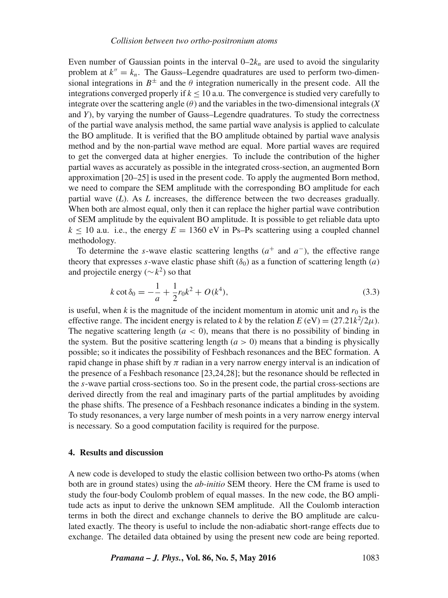Even number of Gaussian points in the interval  $0-2k_n$  are used to avoid the singularity problem at  $k'' = k_n$ . The Gauss–Legendre quadratures are used to perform two-dimensional integrations in  $B^{\pm}$  and the  $\theta$  integration numerically in the present code. All the integrations converged properly if  $k < 10$  a.u. The convergence is studied very carefully to integrate over the scattering angle  $(\theta)$  and the variables in the two-dimensional integrals (*X* and *Y*), by varying the number of Gauss–Legendre quadratures. To study the correctness of the partial wave analysis method, the same partial wave analysis is applied to calculate the BO amplitude. It is verified that the BO amplitude obtained by partial wave analysis method and by the non-partial wave method are equal. More partial waves are required to get the converged data at higher energies. To include the contribution of the higher partial waves as accurately as possible in the integrated cross-section, an augmented Born approximation [20–25] is used in the present code. To apply the augmented Born method, we need to compare the SEM amplitude with the corresponding BO amplitude for each partial wave (*L*). As *L* increases, the difference between the two decreases gradually. When both are almost equal, only then it can replace the higher partial wave contribution of SEM amplitude by the equivalent BO amplitude. It is possible to get reliable data upto  $k < 10$  a.u. i.e., the energy  $E = 1360$  eV in Ps–Ps scattering using a coupled channel methodology.

To determine the s-wave elastic scattering lengths  $(a^+$  and  $a^-)$ , the effective range theory that expresses s-wave elastic phase shift  $(\delta_0)$  as a function of scattering length  $(a)$ and projectile energy ( $\sim k^2$ ) so that

$$
k \cot \delta_0 = -\frac{1}{a} + \frac{1}{2} r_0 k^2 + O(k^4),\tag{3.3}
$$

is useful, when  $k$  is the magnitude of the incident momentum in atomic unit and  $r_0$  is the effective range. The incident energy is related to *k* by the relation  $E$  (eV) =  $(27.21k^2/2\mu)$ . The negative scattering length  $(a < 0)$ , means that there is no possibility of binding in the system. But the positive scattering length  $(a > 0)$  means that a binding is physically possible; so it indicates the possibility of Feshbach resonances and the BEC formation. A rapid change in phase shift by  $\pi$  radian in a very narrow energy interval is an indication of the presence of a Feshbach resonance [23,24,28]; but the resonance should be reflected in the s-wave partial cross-sections too. So in the present code, the partial cross-sections are derived directly from the real and imaginary parts of the partial amplitudes by avoiding the phase shifts. The presence of a Feshbach resonance indicates a binding in the system. To study resonances, a very large number of mesh points in a very narrow energy interval is necessary. So a good computation facility is required for the purpose.

## **4. Results and discussion**

A new code is developed to study the elastic collision between two ortho-Ps atoms (when both are in ground states) using the *ab-initio* SEM theory. Here the CM frame is used to study the four-body Coulomb problem of equal masses. In the new code, the BO amplitude acts as input to derive the unknown SEM amplitude. All the Coulomb interaction terms in both the direct and exchange channels to derive the BO amplitude are calculated exactly. The theory is useful to include the non-adiabatic short-range effects due to exchange. The detailed data obtained by using the present new code are being reported.

*Pramana – J. Phys.*, Vol. 86, No. 5, May 2016 1083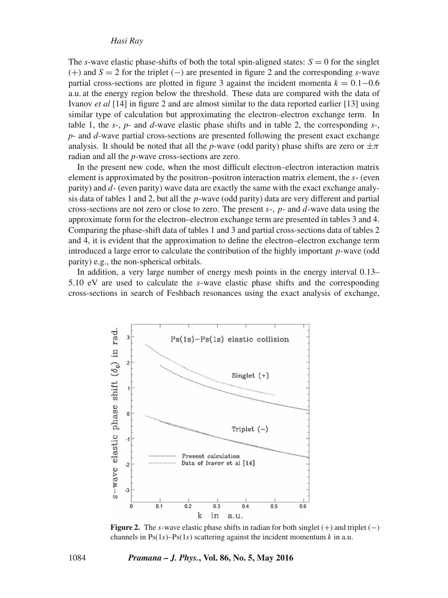The *s*-wave elastic phase-shifts of both the total spin-aligned states:  $S = 0$  for the singlet (+) and *S* = 2 for the triplet (−) are presented in figure 2 and the corresponding *s*-wave partial cross-sections are plotted in figure 3 against the incident momenta  $k = 0.1 - 0.6$ a.u. at the energy region below the threshold. These data are compared with the data of Ivanov *et al* [14] in figure 2 and are almost similar to the data reported earlier [13] using similar type of calculation but approximating the electron–electron exchange term. In table 1, the *s*-, *p*- and *d*-wave elastic phase shifts and in table 2, the corresponding *s*-, *p*- and *d*-wave partial cross-sections are presented following the present exact exchange analysis. It should be noted that all the *p*-wave (odd parity) phase shifts are zero or  $\pm \pi$ radian and all the *p*-wave cross-sections are zero.

In the present new code, when the most difficult electron–electron interaction matrix element is approximated by the positron–positron interaction matrix element, the s- (even parity) and d- (even parity) wave data are exactly the same with the exact exchange analysis data of tables 1 and 2, but all the  $p$ -wave (odd parity) data are very different and partial cross-sections are not zero or close to zero. The present  $s<sub>z</sub>$ ,  $p<sub>z</sub>$  and  $d<sub>z</sub>$  wave data using the approximate form for the electron–electron exchange term are presented in tables 3 and 4. Comparing the phase-shift data of tables 1 and 3 and partial cross-sections data of tables 2 and 4, it is evident that the approximation to define the electron–electron exchange term introduced a large error to calculate the contribution of the highly important  $p$ -wave (odd parity) e.g., the non-spherical orbitals.

In addition, a very large number of energy mesh points in the energy interval 0.13– 5.10 eV are used to calculate the  $s$ -wave elastic phase shifts and the corresponding cross-sections in search of Feshbach resonances using the exact analysis of exchange,



**Figure 2.** The s-wave elastic phase shifts in radian for both singlet  $(+)$  and triplet  $(-)$ channels in  $Ps(1s)$ – $Ps(1s)$  scattering against the incident momentum k in a.u.

#### 1084 *Pramana – J. Phys.***, Vol. 86, No. 5, May 2016**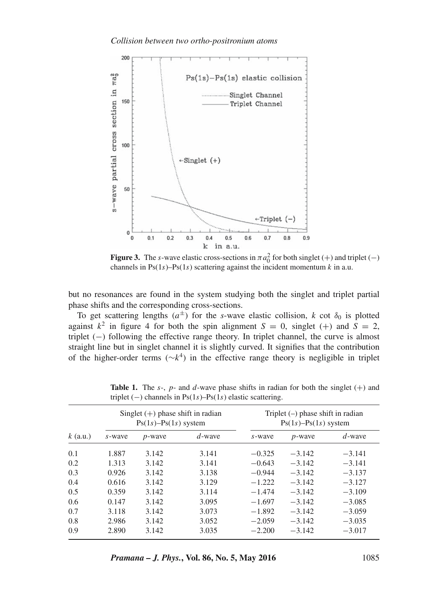

**Figure 3.** The s-wave elastic cross-sections in  $\pi a_0^2$  for both singlet (+) and triplet (-) channels in  $Ps(1s)$ – $Ps(1s)$  scattering against the incident momentum k in a.u.

but no resonances are found in the system studying both the singlet and triplet partial phase shifts and the corresponding cross-sections.

To get scattering lengths  $(a^{\pm})$  for the *s*-wave elastic collision, *k* cot  $\delta_0$  is plotted against  $k^2$  in figure 4 for both the spin alignment  $S = 0$ , singlet (+) and  $S = 2$ , triplet (−) following the effective range theory. In triplet channel, the curve is almost straight line but in singlet channel it is slightly curved. It signifies that the contribution of the higher-order terms ( $∼k^4$ ) in the effective range theory is negligible in triplet

| $k$ (a.u.) | Singlet $(+)$ phase shift in radian<br>$Ps(1s) - Ps(1s)$ system |                |           | Triplet $(-)$ phase shift in radian<br>$Ps(1s) - Ps(1s)$ system |           |           |
|------------|-----------------------------------------------------------------|----------------|-----------|-----------------------------------------------------------------|-----------|-----------|
|            | s-wave                                                          | <i>p</i> -wave | $d$ -wave | s-wave                                                          | $p$ -wave | $d$ -wave |
| 0.1        | 1.887                                                           | 3.142          | 3.141     | $-0.325$                                                        | $-3.142$  | $-3.141$  |
| 0.2        | 1.313                                                           | 3.142          | 3.141     | $-0.643$                                                        | $-3.142$  | $-3.141$  |
| 0.3        | 0.926                                                           | 3.142          | 3.138     | $-0.944$                                                        | $-3.142$  | $-3.137$  |
| 0.4        | 0.616                                                           | 3.142          | 3.129     | $-1.222$                                                        | $-3.142$  | $-3.127$  |
| 0.5        | 0.359                                                           | 3.142          | 3.114     | $-1.474$                                                        | $-3.142$  | $-3.109$  |
| 0.6        | 0.147                                                           | 3.142          | 3.095     | $-1.697$                                                        | $-3.142$  | $-3.085$  |
| 0.7        | 3.118                                                           | 3.142          | 3.073     | $-1.892$                                                        | $-3.142$  | $-3.059$  |
| 0.8        | 2.986                                                           | 3.142          | 3.052     | $-2.059$                                                        | $-3.142$  | $-3.035$  |
| 0.9        | 2.890                                                           | 3.142          | 3.035     | $-2.200$                                                        | $-3.142$  | $-3.017$  |

**Table 1.** The s-, p- and d-wave phase shifts in radian for both the singlet  $(+)$  and triplet  $(-)$  channels in Ps $(1s)$ –Ps $(1s)$  elastic scattering.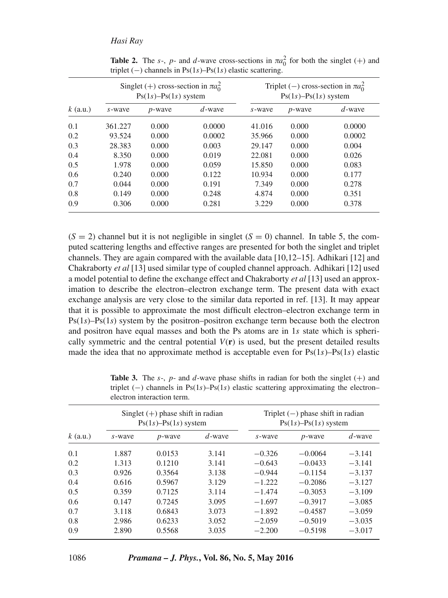|            | Singlet (+) cross-section in $\pi a_0^2$<br>$Ps(1s) - Ps(1s)$ system |           |           | Triplet (-) cross-section in $\pi a_0^2$<br>$Ps(1s) - Ps(1s)$ system |           |           |
|------------|----------------------------------------------------------------------|-----------|-----------|----------------------------------------------------------------------|-----------|-----------|
| $k$ (a.u.) | s-wave                                                               | $p$ -wave | $d$ -wave | s-wave                                                               | $p$ -wave | $d$ -wave |
| 0.1        | 361.227                                                              | 0.000     | 0.0000    | 41.016                                                               | 0.000     | 0.0000    |
| 0.2        | 93.524                                                               | 0.000     | 0.0002    | 35.966                                                               | 0.000     | 0.0002    |
| 0.3        | 28.383                                                               | 0.000     | 0.003     | 29.147                                                               | 0.000     | 0.004     |
| 0.4        | 8.350                                                                | 0.000     | 0.019     | 22.081                                                               | 0.000     | 0.026     |
| 0.5        | 1.978                                                                | 0.000     | 0.059     | 15.850                                                               | 0.000     | 0.083     |
| 0.6        | 0.240                                                                | 0.000     | 0.122     | 10.934                                                               | 0.000     | 0.177     |
| 0.7        | 0.044                                                                | 0.000     | 0.191     | 7.349                                                                | 0.000     | 0.278     |
| 0.8        | 0.149                                                                | 0.000     | 0.248     | 4.874                                                                | 0.000     | 0.351     |
| 0.9        | 0.306                                                                | 0.000     | 0.281     | 3.229                                                                | 0.000     | 0.378     |

**Table 2.** The s-, p- and d-wave cross-sections in  $\pi a_0^2$  for both the singlet (+) and triplet  $(-)$  channels in Ps $(1s)$ –Ps $(1s)$  elastic scattering.

 $(S = 2)$  channel but it is not negligible in singlet  $(S = 0)$  channel. In table 5, the computed scattering lengths and effective ranges are presented for both the singlet and triplet channels. They are again compared with the available data [10,12–15]. Adhikari [12] and Chakraborty *et al* [13] used similar type of coupled channel approach. Adhikari [12] used a model potential to define the exchange effect and Chakraborty *et al* [13] used an approximation to describe the electron–electron exchange term. The present data with exact exchange analysis are very close to the similar data reported in ref. [13]. It may appear that it is possible to approximate the most difficult electron–electron exchange term in  $Ps(1s)$ – $Ps(1s)$  system by the positron–positron exchange term because both the electron and positron have equal masses and both the Ps atoms are in 1s state which is spherically symmetric and the central potential  $V(\mathbf{r})$  is used, but the present detailed results made the idea that no approximate method is acceptable even for  $Ps(1s)$ – $Ps(1s)$  elastic

| $k$ (a.u.) | Singlet $(+)$ phase shift in radian<br>$Ps(1s) - Ps(1s)$ system |           |           | Triplet $(-)$ phase shift in radian<br>$Ps(1s) - Ps(1s)$ system |           |           |
|------------|-----------------------------------------------------------------|-----------|-----------|-----------------------------------------------------------------|-----------|-----------|
|            | s-wave                                                          | $p$ -wave | $d$ -wave | s-wave                                                          | $p$ -wave | $d$ -wave |
| 0.1        | 1.887                                                           | 0.0153    | 3.141     | $-0.326$                                                        | $-0.0064$ | $-3.141$  |
| 0.2        | 1.313                                                           | 0.1210    | 3.141     | $-0.643$                                                        | $-0.0433$ | $-3.141$  |
| 0.3        | 0.926                                                           | 0.3564    | 3.138     | $-0.944$                                                        | $-0.1154$ | $-3.137$  |
| 0.4        | 0.616                                                           | 0.5967    | 3.129     | $-1.222$                                                        | $-0.2086$ | $-3.127$  |
| 0.5        | 0.359                                                           | 0.7125    | 3.114     | $-1.474$                                                        | $-0.3053$ | $-3.109$  |
| 0.6        | 0.147                                                           | 0.7245    | 3.095     | $-1.697$                                                        | $-0.3917$ | $-3.085$  |
| 0.7        | 3.118                                                           | 0.6843    | 3.073     | $-1.892$                                                        | $-0.4587$ | $-3.059$  |
| 0.8        | 2.986                                                           | 0.6233    | 3.052     | $-2.059$                                                        | $-0.5019$ | $-3.035$  |
| 0.9        | 2.890                                                           | 0.5568    | 3.035     | $-2.200$                                                        | $-0.5198$ | $-3.017$  |

**Table 3.** The s-, p- and d-wave phase shifts in radian for both the singlet  $(+)$  and triplet (−) channels in Ps(1s)–Ps(1s) elastic scattering approximating the electron– electron interaction term.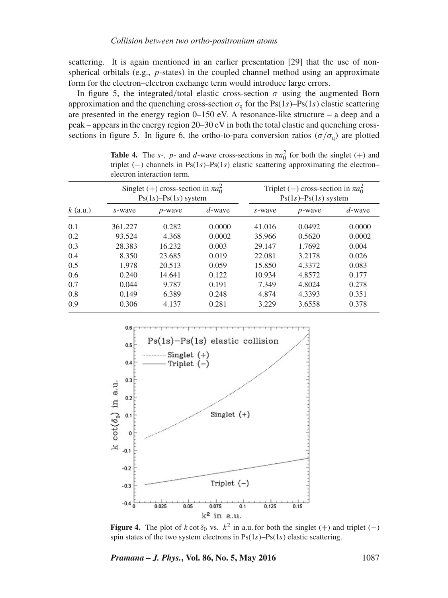scattering. It is again mentioned in an earlier presentation [29] that the use of nonspherical orbitals (e.g.,  $p$ -states) in the coupled channel method using an approximate form for the electron–electron exchange term would introduce large errors.

In figure 5, the integrated/total elastic cross-section  $\sigma$  using the augmented Born approximation and the quenching cross-section  $\sigma_{\alpha}$  for the Ps(1s)–Ps(1s) elastic scattering are presented in the energy region 0–150 eV. A resonance-like structure – a deep and a peak – appears in the energy region  $20-30$  eV in both the total elastic and quenching crosssections in figure 5. In figure 6, the ortho-to-para conversion ratios ( $\sigma/\sigma_{q}$ ) are plotted

| $k$ (a.u.) | Singlet (+) cross-section in $\pi a_0^2$<br>$Ps(1s) - Ps(1s)$ system |           |           | Triplet (-) cross-section in $\pi a_0^2$<br>$Ps(1s) - Ps(1s)$ system |           |           |
|------------|----------------------------------------------------------------------|-----------|-----------|----------------------------------------------------------------------|-----------|-----------|
|            | s-wave                                                               | $p$ -wave | $d$ -wave | s-wave                                                               | $p$ -wave | $d$ -wave |
| 0.1        | 361.227                                                              | 0.282     | 0.0000    | 41.016                                                               | 0.0492    | 0.0000    |
| 0.2        | 93.524                                                               | 4.368     | 0.0002    | 35.966                                                               | 0.5620    | 0.0002    |
| 0.3        | 28.383                                                               | 16.232    | 0.003     | 29.147                                                               | 1.7692    | 0.004     |
| 0.4        | 8.350                                                                | 23.685    | 0.019     | 22.081                                                               | 3.2178    | 0.026     |
| 0.5        | 1.978                                                                | 20.513    | 0.059     | 15.850                                                               | 4.3372    | 0.083     |
| 0.6        | 0.240                                                                | 14.641    | 0.122     | 10.934                                                               | 4.8572    | 0.177     |
| 0.7        | 0.044                                                                | 9.787     | 0.191     | 7.349                                                                | 4.8024    | 0.278     |
| 0.8        | 0.149                                                                | 6.389     | 0.248     | 4.874                                                                | 4.3393    | 0.351     |
| 0.9        | 0.306                                                                | 4.137     | 0.281     | 3.229                                                                | 3.6558    | 0.378     |

**Table 4.** The s-, p- and d-wave cross-sections in  $\pi a_0^2$  for both the singlet (+) and triplet  $(-)$  channels in Ps $(1s)$ –Ps $(1s)$  elastic scattering approximating the electron– electron interaction term.



**Figure 4.** The plot of k cot  $\delta_0$  vs.  $k^2$  in a.u. for both the singlet (+) and triplet (-) spin states of the two system electrons in  $Ps(1s) - Ps(1s)$  elastic scattering.

*Pramana – J. Phys.*, Vol. 86, No. 5, May 2016 1087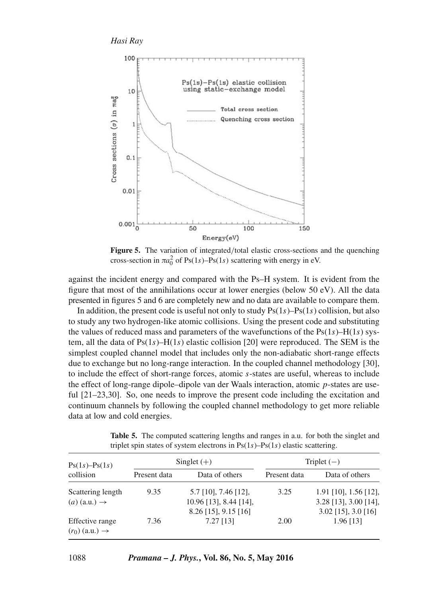

Figure 5. The variation of integrated/total elastic cross-sections and the quenching cross-section in  $\pi a_0^2$  of Ps(1s)–Ps(1s) scattering with energy in eV.

against the incident energy and compared with the Ps–H system. It is evident from the figure that most of the annihilations occur at lower energies (below 50 eV). All the data presented in figures 5 and 6 are completely new and no data are available to compare them.

In addition, the present code is useful not only to study  $Ps(1s) – Ps(1s)$  collision, but also to study any two hydrogen-like atomic collisions. Using the present code and substituting the values of reduced mass and parameters of the wavefunctions of the  $Ps(1s) - H(1s)$  system, all the data of  $Ps(1s) – H(1s)$  elastic collision [20] were reproduced. The SEM is the simplest coupled channel model that includes only the non-adiabatic short-range effects due to exchange but no long-range interaction. In the coupled channel methodology [30], to include the effect of short-range forces, atomic s-states are useful, whereas to include the effect of long-range dipole–dipole van der Waals interaction, atomic  $p$ -states are useful  $[21-23,30]$ . So, one needs to improve the present code including the excitation and continuum channels by following the coupled channel methodology to get more reliable data at low and cold energies.

**Table 5.** The computed scattering lengths and ranges in a.u. for both the singlet and triplet spin states of system electrons in  $Ps(1s)$ – $Ps(1s)$  elastic scattering.

| $Ps(1s) - Ps(1s)$                               |              | Singlet $(+)$                                                                  | Triplet $(-)$ |                                                                             |  |
|-------------------------------------------------|--------------|--------------------------------------------------------------------------------|---------------|-----------------------------------------------------------------------------|--|
| collision                                       | Present data | Data of others                                                                 | Present data  | Data of others                                                              |  |
| Scattering length<br>$(a)$ (a.u.) $\rightarrow$ | 9.35         | $5.7$ [10], 7.46 [12],<br>$10.96$ [13], 8.44 [14],<br>$8.26$ [15], $9.15$ [16] | 3.25          | $1.91$ [10], 1.56 [12],<br>3.28 [13], 3.00 [14],<br>$3.02$ [15], $3.0$ [16] |  |
| Effective range<br>$(r_0)$ (a.u.) $\rightarrow$ | 7.36         | $7.27$ [13]                                                                    | 2.00          | 1.96 [13]                                                                   |  |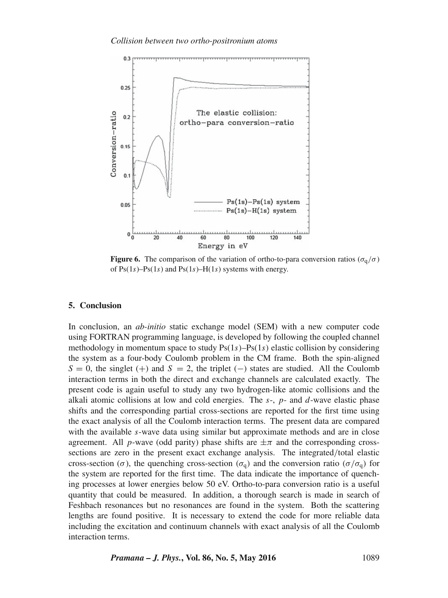#### *Collision between two ortho-positronium atoms*



**Figure 6.** The comparison of the variation of ortho-to-para conversion ratios ( $\sigma_q/\sigma$ ) of  $Ps(1s)$ – $Ps(1s)$  and  $Ps(1s)$ – $H(1s)$  systems with energy.

## **5. Conclusion**

In conclusion, an *ab-initio* static exchange model (SEM) with a new computer code using FORTRAN programming language, is developed by following the coupled channel methodology in momentum space to study  $Ps(1s) - Ps(1s)$  elastic collision by considering the system as a four-body Coulomb problem in the CM frame. Both the spin-aligned  $S = 0$ , the singlet (+) and  $S = 2$ , the triplet (−) states are studied. All the Coulomb interaction terms in both the direct and exchange channels are calculated exactly. The present code is again useful to study any two hydrogen-like atomic collisions and the alkali atomic collisions at low and cold energies. The  $s<sub>-</sub>$ ,  $p<sub>-</sub>$  and  $d$ -wave elastic phase shifts and the corresponding partial cross-sections are reported for the first time using the exact analysis of all the Coulomb interaction terms. The present data are compared with the available s-wave data using similar but approximate methods and are in close agreement. All p-wave (odd parity) phase shifts are  $\pm \pi$  and the corresponding crosssections are zero in the present exact exchange analysis. The integrated/total elastic cross-section ( $\sigma$ ), the quenching cross-section ( $\sigma_q$ ) and the conversion ratio ( $\sigma/\sigma_q$ ) for the system are reported for the first time. The data indicate the importance of quenching processes at lower energies below 50 eV. Ortho-to-para conversion ratio is a useful quantity that could be measured. In addition, a thorough search is made in search of Feshbach resonances but no resonances are found in the system. Both the scattering lengths are found positive. It is necessary to extend the code for more reliable data including the excitation and continuum channels with exact analysis of all the Coulomb interaction terms.